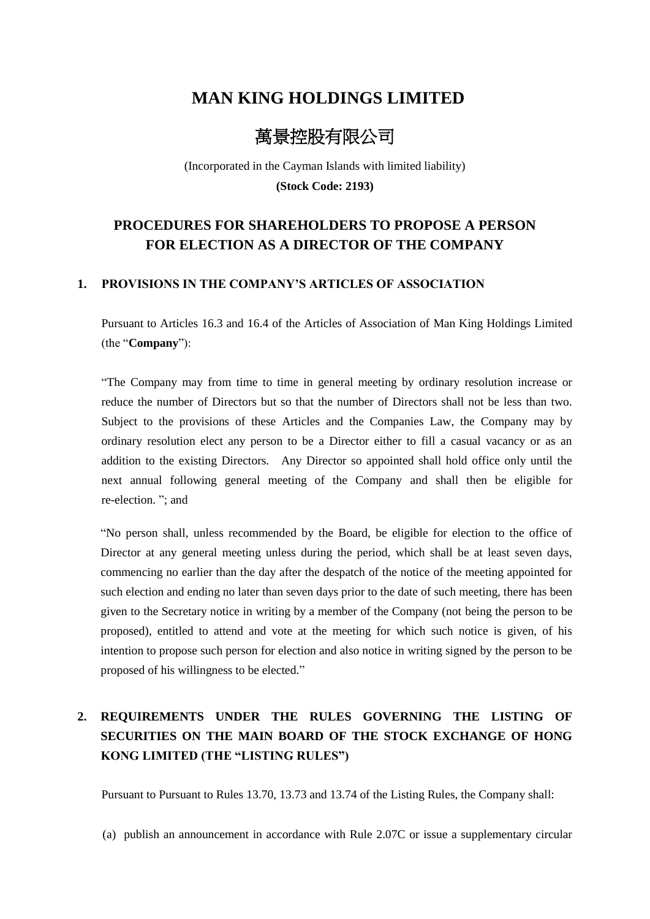# **MAN KING HOLDINGS LIMITED**

# 萬景控股有限公司

(Incorporated in the Cayman Islands with limited liability) **(Stock Code: 2193)**

### **PROCEDURES FOR SHAREHOLDERS TO PROPOSE A PERSON FOR ELECTION AS A DIRECTOR OF THE COMPANY**

#### **1. PROVISIONS IN THE COMPANY'S ARTICLES OF ASSOCIATION**

Pursuant to Articles 16.3 and 16.4 of the Articles of Association of Man King Holdings Limited (the "**Company**"):

"The Company may from time to time in general meeting by ordinary resolution increase or reduce the number of Directors but so that the number of Directors shall not be less than two. Subject to the provisions of these Articles and the Companies Law, the Company may by ordinary resolution elect any person to be a Director either to fill a casual vacancy or as an addition to the existing Directors. Any Director so appointed shall hold office only until the next annual following general meeting of the Company and shall then be eligible for re-election. "; and

"No person shall, unless recommended by the Board, be eligible for election to the office of Director at any general meeting unless during the period, which shall be at least seven days, commencing no earlier than the day after the despatch of the notice of the meeting appointed for such election and ending no later than seven days prior to the date of such meeting, there has been given to the Secretary notice in writing by a member of the Company (not being the person to be proposed), entitled to attend and vote at the meeting for which such notice is given, of his intention to propose such person for election and also notice in writing signed by the person to be proposed of his willingness to be elected."

## **2. REQUIREMENTS UNDER THE RULES GOVERNING THE LISTING OF SECURITIES ON THE MAIN BOARD OF THE STOCK EXCHANGE OF HONG KONG LIMITED (THE "LISTING RULES")**

Pursuant to Pursuant to Rules 13.70, 13.73 and 13.74 of the Listing Rules, the Company shall:

(a) publish an announcement in accordance with Rule 2.07C or issue a supplementary circular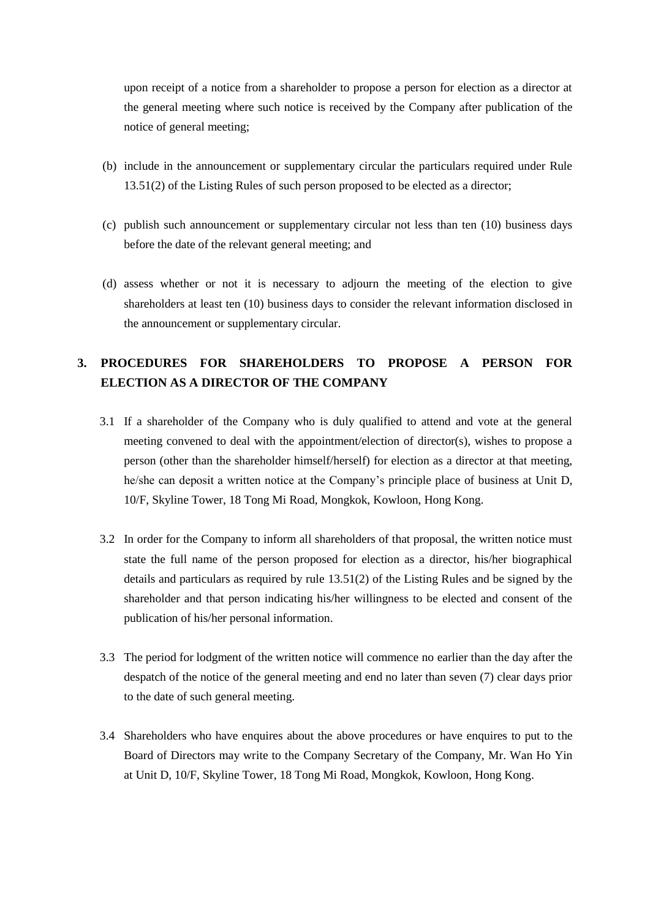upon receipt of a notice from a shareholder to propose a person for election as a director at the general meeting where such notice is received by the Company after publication of the notice of general meeting;

- (b) include in the announcement or supplementary circular the particulars required under Rule 13.51(2) of the Listing Rules of such person proposed to be elected as a director;
- (c) publish such announcement or supplementary circular not less than ten (10) business days before the date of the relevant general meeting; and
- (d) assess whether or not it is necessary to adjourn the meeting of the election to give shareholders at least ten (10) business days to consider the relevant information disclosed in the announcement or supplementary circular.

### **3. PROCEDURES FOR SHAREHOLDERS TO PROPOSE A PERSON FOR ELECTION AS A DIRECTOR OF THE COMPANY**

- 3.1 If a shareholder of the Company who is duly qualified to attend and vote at the general meeting convened to deal with the appointment/election of director(s), wishes to propose a person (other than the shareholder himself/herself) for election as a director at that meeting, he/she can deposit a written notice at the Company's principle place of business at Unit D, 10/F, Skyline Tower, 18 Tong Mi Road, Mongkok, Kowloon, Hong Kong.
- 3.2 In order for the Company to inform all shareholders of that proposal, the written notice must state the full name of the person proposed for election as a director, his/her biographical details and particulars as required by rule 13.51(2) of the Listing Rules and be signed by the shareholder and that person indicating his/her willingness to be elected and consent of the publication of his/her personal information.
- 3.3 The period for lodgment of the written notice will commence no earlier than the day after the despatch of the notice of the general meeting and end no later than seven (7) clear days prior to the date of such general meeting.
- 3.4 Shareholders who have enquires about the above procedures or have enquires to put to the Board of Directors may write to the Company Secretary of the Company, Mr. Wan Ho Yin at Unit D, 10/F, Skyline Tower, 18 Tong Mi Road, Mongkok, Kowloon, Hong Kong.